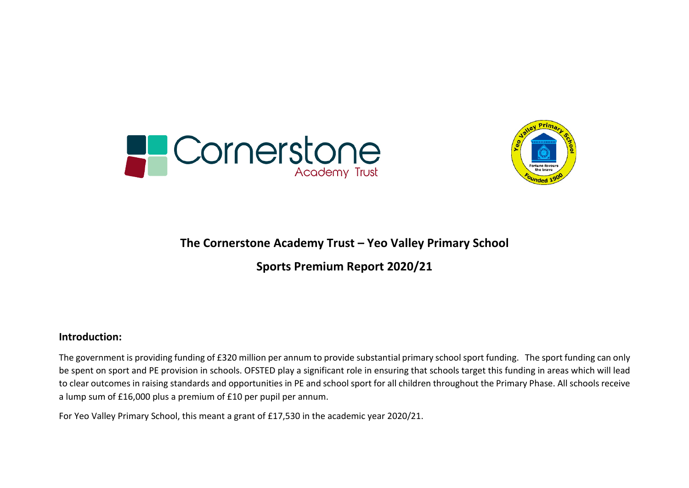



### **The Cornerstone Academy Trust – Yeo Valley Primary School**

**Sports Premium Report 2020/21**

#### **Introduction:**

The government is providing funding of £320 million per annum to provide substantial primary school sport funding. The sport funding can only be spent on sport and PE provision in schools. OFSTED play a significant role in ensuring that schools target this funding in areas which will lead to clear outcomes in raising standards and opportunities in PE and school sport for all children throughout the Primary Phase. All schools receive a lump sum of £16,000 plus a premium of £10 per pupil per annum.

For Yeo Valley Primary School, this meant a grant of £17,530 in the academic year 2020/21.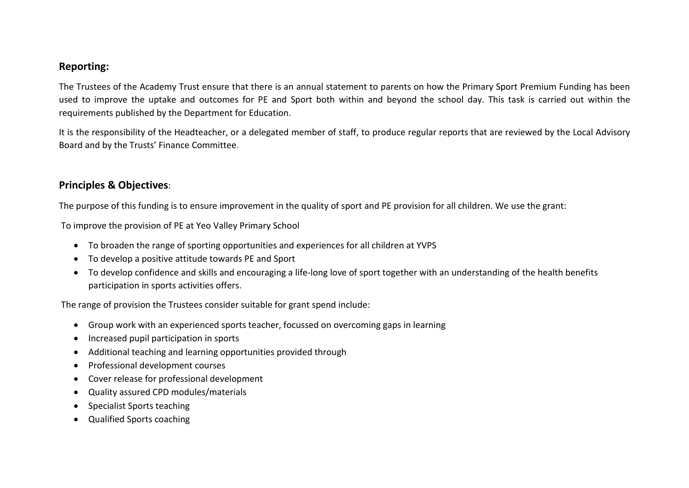#### **Reporting:**

The Trustees of the Academy Trust ensure that there is an annual statement to parents on how the Primary Sport Premium Funding has been used to improve the uptake and outcomes for PE and Sport both within and beyond the school day. This task is carried out within the requirements published by the Department for Education.

It is the responsibility of the Headteacher, or a delegated member of staff, to produce regular reports that are reviewed by the Local Advisory Board and by the Trusts' Finance Committee.

#### **Principles & Objectives**:

The purpose of this funding is to ensure improvement in the quality of sport and PE provision for all children. We use the grant:

To improve the provision of PE at Yeo Valley Primary School

- To broaden the range of sporting opportunities and experiences for all children at YVPS
- To develop a positive attitude towards PE and Sport
- To develop confidence and skills and encouraging a life-long love of sport together with an understanding of the health benefits participation in sports activities offers.

The range of provision the Trustees consider suitable for grant spend include:

- Group work with an experienced sports teacher, focussed on overcoming gaps in learning
- Increased pupil participation in sports
- Additional teaching and learning opportunities provided through
- Professional development courses
- Cover release for professional development
- Quality assured CPD modules/materials
- Specialist Sports teaching
- Qualified Sports coaching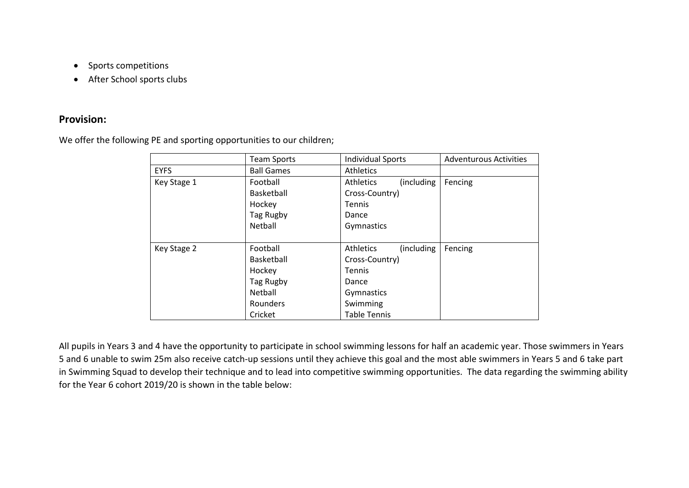- Sports competitions
- After School sports clubs

#### **Provision:**

We offer the following PE and sporting opportunities to our children;

|             | <b>Team Sports</b> | <b>Individual Sports</b>        | <b>Adventurous Activities</b> |
|-------------|--------------------|---------------------------------|-------------------------------|
| <b>EYFS</b> | <b>Ball Games</b>  | <b>Athletics</b>                |                               |
| Key Stage 1 | Football           | <b>Athletics</b><br>(including) | Fencing                       |
|             | Basketball         | Cross-Country)                  |                               |
|             | Hockey             | Tennis                          |                               |
|             | Tag Rugby          | Dance                           |                               |
|             | Netball            | Gymnastics                      |                               |
|             |                    |                                 |                               |
| Key Stage 2 | Football           | (including)<br>Athletics        | Fencing                       |
|             | Basketball         | Cross-Country)                  |                               |
|             | Hockey             | <b>Tennis</b>                   |                               |
|             | Tag Rugby          | Dance                           |                               |
|             | Netball            | Gymnastics                      |                               |
|             | Rounders           | Swimming                        |                               |
|             | Cricket            | <b>Table Tennis</b>             |                               |

All pupils in Years 3 and 4 have the opportunity to participate in school swimming lessons for half an academic year. Those swimmers in Years 5 and 6 unable to swim 25m also receive catch-up sessions until they achieve this goal and the most able swimmers in Years 5 and 6 take part in Swimming Squad to develop their technique and to lead into competitive swimming opportunities. The data regarding the swimming ability for the Year 6 cohort 2019/20 is shown in the table below: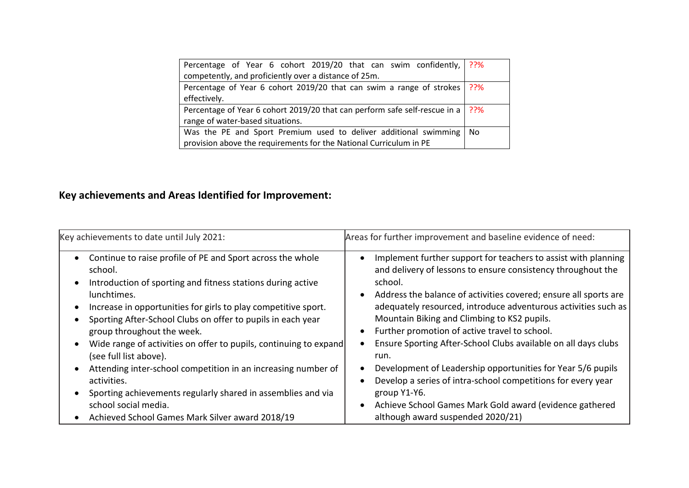| Percentage of Year 6 cohort 2019/20 that can swim confidently, 2?%                    |    |
|---------------------------------------------------------------------------------------|----|
| competently, and proficiently over a distance of 25m.                                 |    |
| Percentage of Year 6 cohort 2019/20 that can swim a range of strokes   ??%            |    |
| effectively.                                                                          |    |
| Percentage of Year 6 cohort 2019/20 that can perform safe self-rescue in a $\mid$ ??% |    |
| range of water-based situations.                                                      |    |
| Was the PE and Sport Premium used to deliver additional swimming                      | No |
| provision above the requirements for the National Curriculum in PE                    |    |

## **Key achievements and Areas Identified for Improvement:**

| Key achievements to date until July 2021:                         | Areas for further improvement and baseline evidence of need:     |
|-------------------------------------------------------------------|------------------------------------------------------------------|
| Continue to raise profile of PE and Sport across the whole        | Implement further support for teachers to assist with planning   |
| school.                                                           | and delivery of lessons to ensure consistency throughout the     |
| Introduction of sporting and fitness stations during active       | school.                                                          |
| lunchtimes.                                                       | Address the balance of activities covered; ensure all sports are |
| Increase in opportunities for girls to play competitive sport.    | adequately resourced, introduce adventurous activities such as   |
| Sporting After-School Clubs on offer to pupils in each year       | Mountain Biking and Climbing to KS2 pupils.                      |
| group throughout the week.                                        | Further promotion of active travel to school.                    |
| Wide range of activities on offer to pupils, continuing to expand | Ensure Sporting After-School Clubs available on all days clubs   |
| (see full list above).                                            | run.                                                             |
| Attending inter-school competition in an increasing number of     | Development of Leadership opportunities for Year 5/6 pupils      |
| activities.                                                       | Develop a series of intra-school competitions for every year     |
| Sporting achievements regularly shared in assemblies and via      | group Y1-Y6.                                                     |
| school social media.                                              | Achieve School Games Mark Gold award (evidence gathered          |
| Achieved School Games Mark Silver award 2018/19                   | although award suspended 2020/21)                                |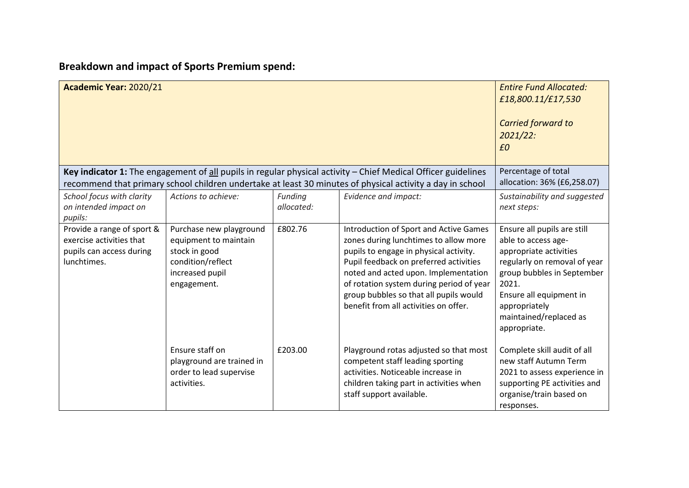# **Breakdown and impact of Sports Premium spend:**

| Academic Year: 2020/21                                                                                                                |                                                                                                                          |         |                                                                                                                                                                                                                                                                                                                                            | <b>Entire Fund Allocated:</b><br>£18,800.11/£17,530<br><b>Carried forward to</b><br>2021/22:<br>£0                                                                                                                                        |
|---------------------------------------------------------------------------------------------------------------------------------------|--------------------------------------------------------------------------------------------------------------------------|---------|--------------------------------------------------------------------------------------------------------------------------------------------------------------------------------------------------------------------------------------------------------------------------------------------------------------------------------------------|-------------------------------------------------------------------------------------------------------------------------------------------------------------------------------------------------------------------------------------------|
|                                                                                                                                       |                                                                                                                          |         | Key indicator 1: The engagement of $all$ pupils in regular physical activity $-$ Chief Medical Officer guidelines<br>recommend that primary school children undertake at least 30 minutes of physical activity a day in school                                                                                                             | Percentage of total<br>allocation: 36% (£6,258.07)                                                                                                                                                                                        |
| School focus with clarity<br>Actions to achieve:<br>Evidence and impact:<br>Funding<br>allocated:<br>on intended impact on<br>pupils: |                                                                                                                          |         |                                                                                                                                                                                                                                                                                                                                            | Sustainability and suggested<br>next steps:                                                                                                                                                                                               |
| Provide a range of sport &<br>exercise activities that<br>pupils can access during<br>lunchtimes.                                     | Purchase new playground<br>equipment to maintain<br>stock in good<br>condition/reflect<br>increased pupil<br>engagement. | £802.76 | Introduction of Sport and Active Games<br>zones during lunchtimes to allow more<br>pupils to engage in physical activity.<br>Pupil feedback on preferred activities<br>noted and acted upon. Implementation<br>of rotation system during period of year<br>group bubbles so that all pupils would<br>benefit from all activities on offer. | Ensure all pupils are still<br>able to access age-<br>appropriate activities<br>regularly on removal of year<br>group bubbles in September<br>2021.<br>Ensure all equipment in<br>appropriately<br>maintained/replaced as<br>appropriate. |
|                                                                                                                                       | Ensure staff on<br>playground are trained in<br>order to lead supervise<br>activities.                                   | £203.00 | Playground rotas adjusted so that most<br>competent staff leading sporting<br>activities. Noticeable increase in<br>children taking part in activities when<br>staff support available.                                                                                                                                                    | Complete skill audit of all<br>new staff Autumn Term<br>2021 to assess experience in<br>supporting PE activities and<br>organise/train based on<br>responses.                                                                             |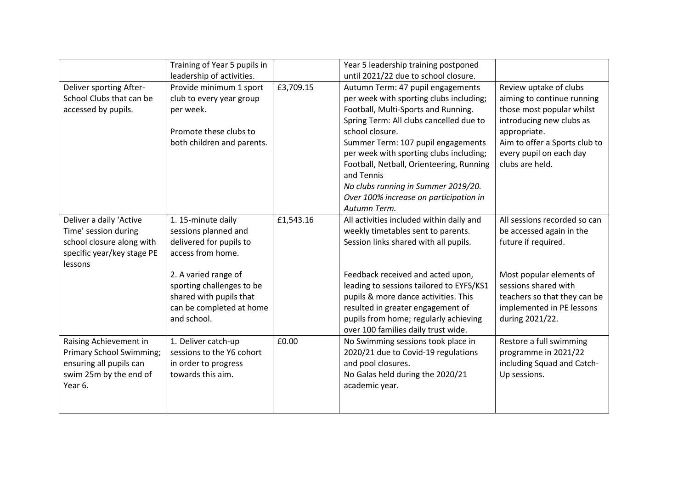|                                                                                                                           | Training of Year 5 pupils in<br>leadership of activities.                                                                                                                                                             |           | Year 5 leadership training postponed<br>until 2021/22 due to school closure.                                                                                                                                                                                                                                                                                                                                                  |                                                                                                                                                                                                                     |
|---------------------------------------------------------------------------------------------------------------------------|-----------------------------------------------------------------------------------------------------------------------------------------------------------------------------------------------------------------------|-----------|-------------------------------------------------------------------------------------------------------------------------------------------------------------------------------------------------------------------------------------------------------------------------------------------------------------------------------------------------------------------------------------------------------------------------------|---------------------------------------------------------------------------------------------------------------------------------------------------------------------------------------------------------------------|
| Deliver sporting After-<br>School Clubs that can be<br>accessed by pupils.                                                | Provide minimum 1 sport<br>club to every year group<br>per week.<br>Promote these clubs to<br>both children and parents.                                                                                              | £3,709.15 | Autumn Term: 47 pupil engagements<br>per week with sporting clubs including;<br>Football, Multi-Sports and Running.<br>Spring Term: All clubs cancelled due to<br>school closure.<br>Summer Term: 107 pupil engagements<br>per week with sporting clubs including;<br>Football, Netball, Orienteering, Running<br>and Tennis<br>No clubs running in Summer 2019/20.<br>Over 100% increase on participation in<br>Autumn Term. | Review uptake of clubs<br>aiming to continue running<br>those most popular whilst<br>introducing new clubs as<br>appropriate.<br>Aim to offer a Sports club to<br>every pupil on each day<br>clubs are held.        |
| Deliver a daily 'Active<br>Time' session during<br>school closure along with<br>specific year/key stage PE<br>lessons     | 1. 15-minute daily<br>sessions planned and<br>delivered for pupils to<br>access from home.<br>2. A varied range of<br>sporting challenges to be<br>shared with pupils that<br>can be completed at home<br>and school. | £1,543.16 | All activities included within daily and<br>weekly timetables sent to parents.<br>Session links shared with all pupils.<br>Feedback received and acted upon,<br>leading to sessions tailored to EYFS/KS1<br>pupils & more dance activities. This<br>resulted in greater engagement of<br>pupils from home; regularly achieving<br>over 100 families daily trust wide.                                                         | All sessions recorded so can<br>be accessed again in the<br>future if required.<br>Most popular elements of<br>sessions shared with<br>teachers so that they can be<br>implemented in PE lessons<br>during 2021/22. |
| Raising Achievement in<br><b>Primary School Swimming;</b><br>ensuring all pupils can<br>swim 25m by the end of<br>Year 6. | 1. Deliver catch-up<br>sessions to the Y6 cohort<br>in order to progress<br>towards this aim.                                                                                                                         | £0.00     | No Swimming sessions took place in<br>2020/21 due to Covid-19 regulations<br>and pool closures.<br>No Galas held during the 2020/21<br>academic year.                                                                                                                                                                                                                                                                         | Restore a full swimming<br>programme in 2021/22<br>including Squad and Catch-<br>Up sessions.                                                                                                                       |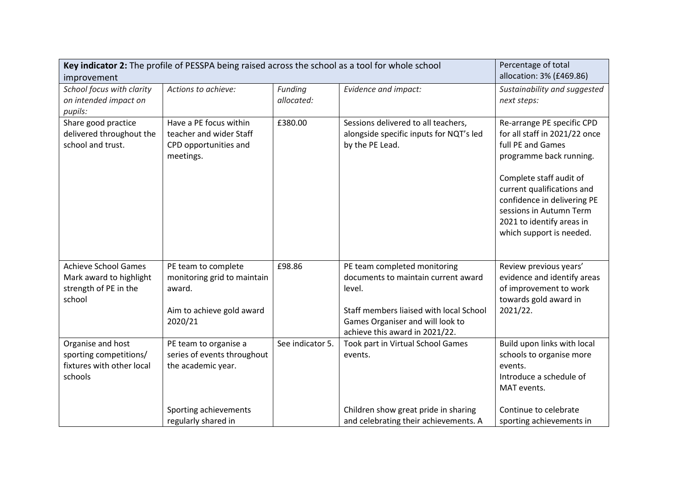| Key indicator 2: The profile of PESSPA being raised across the school as a tool for whole school<br>improvement | Percentage of total<br>allocation: 3% (£469.86)                                                                               |                            |                                                                                                                                                                                                                                     |                                                                                                                                                                                                                                                                                         |
|-----------------------------------------------------------------------------------------------------------------|-------------------------------------------------------------------------------------------------------------------------------|----------------------------|-------------------------------------------------------------------------------------------------------------------------------------------------------------------------------------------------------------------------------------|-----------------------------------------------------------------------------------------------------------------------------------------------------------------------------------------------------------------------------------------------------------------------------------------|
| School focus with clarity<br>on intended impact on<br>pupils:                                                   | Actions to achieve:                                                                                                           | Funding<br>allocated:      | Evidence and impact:                                                                                                                                                                                                                | Sustainability and suggested<br>next steps:                                                                                                                                                                                                                                             |
| Share good practice<br>delivered throughout the<br>school and trust.                                            | Have a PE focus within<br>teacher and wider Staff<br>CPD opportunities and<br>meetings.                                       | £380.00                    | Sessions delivered to all teachers,<br>alongside specific inputs for NQT's led<br>by the PE Lead.                                                                                                                                   | Re-arrange PE specific CPD<br>for all staff in 2021/22 once<br>full PE and Games<br>programme back running.<br>Complete staff audit of<br>current qualifications and<br>confidence in delivering PE<br>sessions in Autumn Term<br>2021 to identify areas in<br>which support is needed. |
| <b>Achieve School Games</b><br>Mark award to highlight<br>strength of PE in the<br>school<br>Organise and host  | PE team to complete<br>monitoring grid to maintain<br>award.<br>Aim to achieve gold award<br>2020/21<br>PE team to organise a | £98.86<br>See indicator 5. | PE team completed monitoring<br>documents to maintain current award<br>level.<br>Staff members liaised with local School<br>Games Organiser and will look to<br>achieve this award in 2021/22.<br>Took part in Virtual School Games | Review previous years'<br>evidence and identify areas<br>of improvement to work<br>towards gold award in<br>2021/22.<br>Build upon links with local                                                                                                                                     |
| sporting competitions/<br>fixtures with other local<br>schools                                                  | series of events throughout<br>the academic year.                                                                             |                            | events.                                                                                                                                                                                                                             | schools to organise more<br>events.<br>Introduce a schedule of<br>MAT events.                                                                                                                                                                                                           |
|                                                                                                                 | Sporting achievements<br>regularly shared in                                                                                  |                            | Children show great pride in sharing<br>and celebrating their achievements. A                                                                                                                                                       | Continue to celebrate<br>sporting achievements in                                                                                                                                                                                                                                       |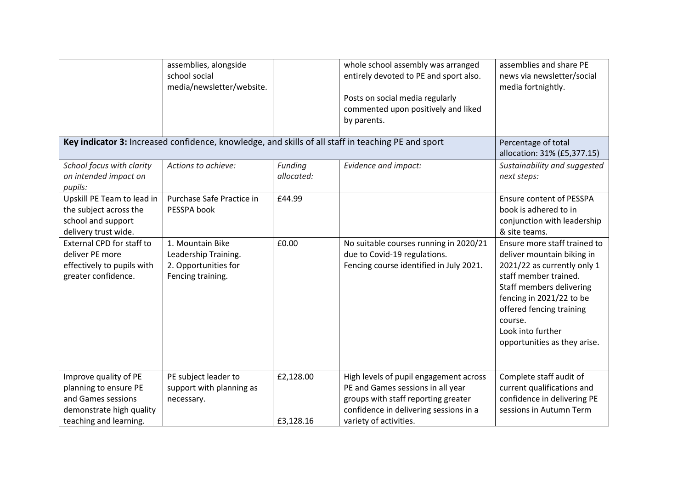|                            | assemblies, alongside                                                                              |            | whole school assembly was arranged      | assemblies and share PE         |
|----------------------------|----------------------------------------------------------------------------------------------------|------------|-----------------------------------------|---------------------------------|
|                            | school social                                                                                      |            | entirely devoted to PE and sport also.  | news via newsletter/social      |
|                            | media/newsletter/website.                                                                          |            |                                         | media fortnightly.              |
|                            |                                                                                                    |            | Posts on social media regularly         |                                 |
|                            |                                                                                                    |            | commented upon positively and liked     |                                 |
|                            |                                                                                                    |            | by parents.                             |                                 |
|                            |                                                                                                    |            |                                         |                                 |
|                            | Key indicator 3: Increased confidence, knowledge, and skills of all staff in teaching PE and sport |            |                                         | Percentage of total             |
|                            |                                                                                                    |            |                                         | allocation: 31% (£5,377.15)     |
| School focus with clarity  | Actions to achieve:                                                                                | Funding    | Evidence and impact:                    | Sustainability and suggested    |
| on intended impact on      |                                                                                                    | allocated: |                                         | next steps:                     |
| pupils:                    |                                                                                                    |            |                                         |                                 |
| Upskill PE Team to lead in | Purchase Safe Practice in                                                                          | £44.99     |                                         | <b>Ensure content of PESSPA</b> |
| the subject across the     | PESSPA book                                                                                        |            |                                         | book is adhered to in           |
| school and support         |                                                                                                    |            |                                         | conjunction with leadership     |
| delivery trust wide.       |                                                                                                    |            |                                         | & site teams.                   |
| External CPD for staff to  | 1. Mountain Bike                                                                                   | £0.00      | No suitable courses running in 2020/21  | Ensure more staff trained to    |
| deliver PE more            | Leadership Training.                                                                               |            | due to Covid-19 regulations.            | deliver mountain biking in      |
| effectively to pupils with | 2. Opportunities for                                                                               |            | Fencing course identified in July 2021. | 2021/22 as currently only 1     |
| greater confidence.        | Fencing training.                                                                                  |            |                                         | staff member trained.           |
|                            |                                                                                                    |            |                                         | Staff members delivering        |
|                            |                                                                                                    |            |                                         | fencing in 2021/22 to be        |
|                            |                                                                                                    |            |                                         |                                 |
|                            |                                                                                                    |            |                                         | offered fencing training        |
|                            |                                                                                                    |            |                                         | course.                         |
|                            |                                                                                                    |            |                                         | Look into further               |
|                            |                                                                                                    |            |                                         | opportunities as they arise.    |
|                            |                                                                                                    |            |                                         |                                 |
|                            |                                                                                                    |            |                                         |                                 |
| Improve quality of PE      | PE subject leader to                                                                               | £2,128.00  | High levels of pupil engagement across  | Complete staff audit of         |
| planning to ensure PE      | support with planning as                                                                           |            | PE and Games sessions in all year       | current qualifications and      |
| and Games sessions         | necessary.                                                                                         |            | groups with staff reporting greater     | confidence in delivering PE     |
| demonstrate high quality   |                                                                                                    |            | confidence in delivering sessions in a  | sessions in Autumn Term         |
| teaching and learning.     |                                                                                                    | £3,128.16  | variety of activities.                  |                                 |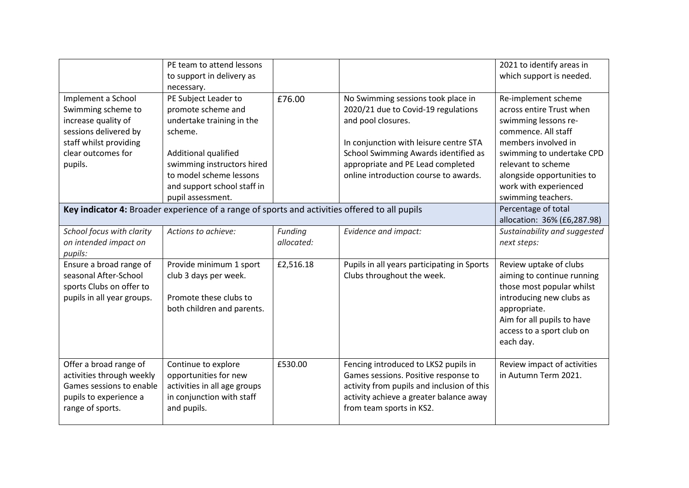|                            | PE team to attend lessons                                                                     |            |                                             | 2021 to identify areas in    |
|----------------------------|-----------------------------------------------------------------------------------------------|------------|---------------------------------------------|------------------------------|
|                            | to support in delivery as                                                                     |            |                                             | which support is needed.     |
|                            | necessary.                                                                                    |            |                                             |                              |
| Implement a School         | PE Subject Leader to                                                                          | £76.00     | No Swimming sessions took place in          | Re-implement scheme          |
| Swimming scheme to         | promote scheme and                                                                            |            | 2020/21 due to Covid-19 regulations         | across entire Trust when     |
| increase quality of        | undertake training in the                                                                     |            | and pool closures.                          | swimming lessons re-         |
| sessions delivered by      | scheme.                                                                                       |            |                                             | commence. All staff          |
| staff whilst providing     |                                                                                               |            | In conjunction with leisure centre STA      | members involved in          |
| clear outcomes for         | Additional qualified                                                                          |            | School Swimming Awards identified as        | swimming to undertake CPD    |
| pupils.                    | swimming instructors hired                                                                    |            | appropriate and PE Lead completed           | relevant to scheme           |
|                            | to model scheme lessons                                                                       |            | online introduction course to awards.       | alongside opportunities to   |
|                            | and support school staff in                                                                   |            |                                             | work with experienced        |
|                            | pupil assessment.                                                                             |            |                                             | swimming teachers.           |
|                            | Key indicator 4: Broader experience of a range of sports and activities offered to all pupils |            |                                             | Percentage of total          |
|                            |                                                                                               |            |                                             | allocation: 36% (£6,287.98)  |
| School focus with clarity  | Actions to achieve:                                                                           | Funding    | Evidence and impact:                        | Sustainability and suggested |
| on intended impact on      |                                                                                               | allocated: |                                             | next steps:                  |
| pupils:                    |                                                                                               |            |                                             |                              |
| Ensure a broad range of    | Provide minimum 1 sport                                                                       | £2,516.18  | Pupils in all years participating in Sports | Review uptake of clubs       |
| seasonal After-School      | club 3 days per week.                                                                         |            | Clubs throughout the week.                  | aiming to continue running   |
| sports Clubs on offer to   |                                                                                               |            |                                             | those most popular whilst    |
| pupils in all year groups. | Promote these clubs to                                                                        |            |                                             | introducing new clubs as     |
|                            | both children and parents.                                                                    |            |                                             | appropriate.                 |
|                            |                                                                                               |            |                                             | Aim for all pupils to have   |
|                            |                                                                                               |            |                                             | access to a sport club on    |
|                            |                                                                                               |            |                                             | each day.                    |
|                            |                                                                                               |            |                                             |                              |
| Offer a broad range of     | Continue to explore                                                                           | £530.00    | Fencing introduced to LKS2 pupils in        | Review impact of activities  |
| activities through weekly  | opportunities for new                                                                         |            | Games sessions. Positive response to        | in Autumn Term 2021.         |
| Games sessions to enable   | activities in all age groups                                                                  |            | activity from pupils and inclusion of this  |                              |
| pupils to experience a     | in conjunction with staff                                                                     |            | activity achieve a greater balance away     |                              |
| range of sports.           | and pupils.                                                                                   |            | from team sports in KS2.                    |                              |
|                            |                                                                                               |            |                                             |                              |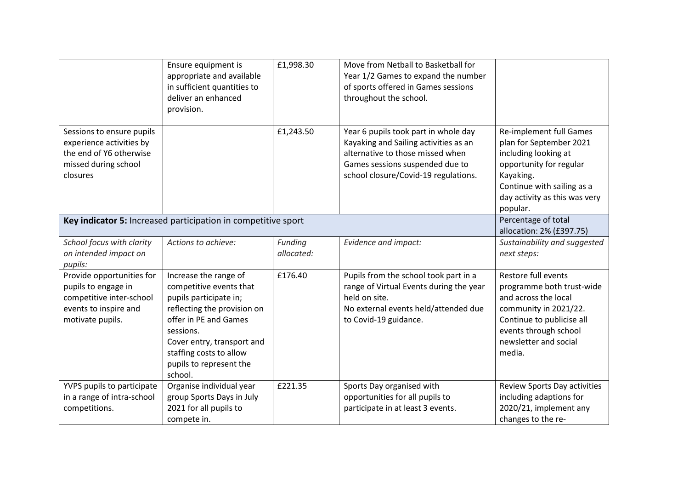|                                                                                                                           | Ensure equipment is<br>appropriate and available<br>in sufficient quantities to<br>deliver an enhanced<br>provision.                                                                                                                           | £1,998.30             | Move from Netball to Basketball for<br>Year 1/2 Games to expand the number<br>of sports offered in Games sessions<br>throughout the school.                                                  |                                                                                                                                                                                               |
|---------------------------------------------------------------------------------------------------------------------------|------------------------------------------------------------------------------------------------------------------------------------------------------------------------------------------------------------------------------------------------|-----------------------|----------------------------------------------------------------------------------------------------------------------------------------------------------------------------------------------|-----------------------------------------------------------------------------------------------------------------------------------------------------------------------------------------------|
| Sessions to ensure pupils<br>experience activities by<br>the end of Y6 otherwise<br>missed during school<br>closures      |                                                                                                                                                                                                                                                | £1,243.50             | Year 6 pupils took part in whole day<br>Kayaking and Sailing activities as an<br>alternative to those missed when<br>Games sessions suspended due to<br>school closure/Covid-19 regulations. | Re-implement full Games<br>plan for September 2021<br>including looking at<br>opportunity for regular<br>Kayaking.<br>Continue with sailing as a<br>day activity as this was very<br>popular. |
|                                                                                                                           | Key indicator 5: Increased participation in competitive sport                                                                                                                                                                                  |                       |                                                                                                                                                                                              | Percentage of total<br>allocation: 2% (£397.75)                                                                                                                                               |
| School focus with clarity<br>on intended impact on<br>pupils:                                                             | Actions to achieve:                                                                                                                                                                                                                            | Funding<br>allocated: | Evidence and impact:                                                                                                                                                                         | Sustainability and suggested<br>next steps:                                                                                                                                                   |
| Provide opportunities for<br>pupils to engage in<br>competitive inter-school<br>events to inspire and<br>motivate pupils. | Increase the range of<br>competitive events that<br>pupils participate in;<br>reflecting the provision on<br>offer in PE and Games<br>sessions.<br>Cover entry, transport and<br>staffing costs to allow<br>pupils to represent the<br>school. | £176.40               | Pupils from the school took part in a<br>range of Virtual Events during the year<br>held on site.<br>No external events held/attended due<br>to Covid-19 guidance.                           | Restore full events<br>programme both trust-wide<br>and across the local<br>community in 2021/22.<br>Continue to publicise all<br>events through school<br>newsletter and social<br>media.    |
| YVPS pupils to participate<br>in a range of intra-school<br>competitions.                                                 | Organise individual year<br>group Sports Days in July<br>2021 for all pupils to<br>compete in.                                                                                                                                                 | £221.35               | Sports Day organised with<br>opportunities for all pupils to<br>participate in at least 3 events.                                                                                            | Review Sports Day activities<br>including adaptions for<br>2020/21, implement any<br>changes to the re-                                                                                       |